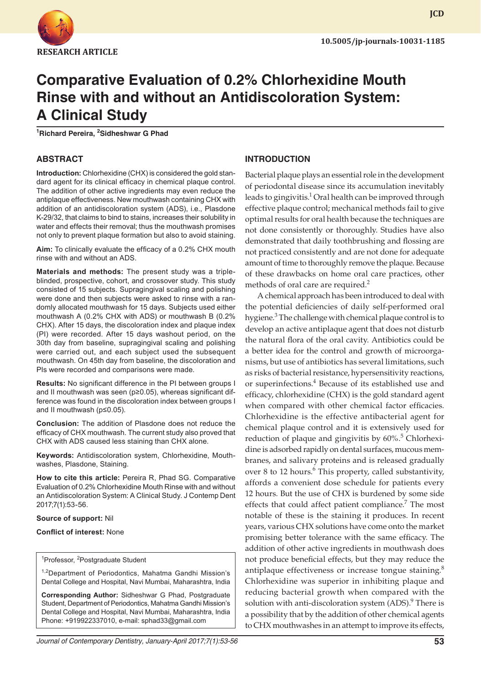

# **Comparative Evaluation of 0.2% Chlorhexidine Mouth Rinse with and without an Antidiscoloration System: A Clinical Study**

**1 Richard Pereira, <sup>2</sup> Sidheshwar G Phad** 

## **ABSTRACT**

**Introduction:** Chlorhexidine (CHX) is considered the gold standard agent for its clinical efficacy in chemical plaque control. The addition of other active ingredients may even reduce the antiplaque effectiveness. New mouthwash containing CHX with addition of an antidiscoloration system (ADS), i.e., Plasdone K-29/32, that claims to bind to stains, increases their solubility in water and effects their removal; thus the mouthwash promises not only to prevent plaque formation but also to avoid staining.

**Aim:** To clinically evaluate the efficacy of a 0.2% CHX mouth rinse with and without an ADS.

**Materials and methods:** The present study was a tripleblinded, prospective, cohort, and crossover study. This study consisted of 15 subjects. Supragingival scaling and polishing were done and then subjects were asked to rinse with a randomly allocated mouthwash for 15 days. Subjects used either mouthwash A (0.2% CHX with ADS) or mouthwash B (0.2% CHX). After 15 days, the discoloration index and plaque index (PI) were recorded. After 15 days washout period, on the 30th day from baseline, supragingival scaling and polishing were carried out, and each subject used the subsequent mouthwash. On 45th day from baseline, the discoloration and PIs were recorded and comparisons were made.

**Results:** No significant difference in the PI between groups I and II mouthwash was seen (p≥0.05), whereas significant difference was found in the discoloration index between groups I and II mouthwash (p≤0.05).

**Conclusion:** The addition of Plasdone does not reduce the efficacy of CHX mouthwash. The current study also proved that CHX with ADS caused less staining than CHX alone.

**Keywords:** Antidiscoloration system, Chlorhexidine, Mouthwashes, Plasdone, Staining.

**How to cite this article:** Pereira R, Phad SG. Comparative Evaluation of 0.2% Chlorhexidine Mouth Rinse with and without an Antidiscoloration System: A Clinical Study. J Contemp Dent 2017;7(1):53-56.

#### **Source of support:** Nil

#### **Conflict of interest:** None

#### <sup>1</sup>Professor, <sup>2</sup>Postgraduate Student

<sup>1,2</sup>Department of Periodontics, Mahatma Gandhi Mission's Dental College and Hospital, Navi Mumbai, Maharashtra, India

**Corresponding Author:** Sidheshwar G Phad, Postgraduate Student, Department of Periodontics, Mahatma Gandhi Mission's Dental College and Hospital, Navi Mumbai, Maharashtra, India Phone: +919922337010, e-mail: sphad33@gmail.com

# **INTRODUCTION**

Bacterial plaque plays an essential role in the development of periodontal disease since its accumulation inevitably leads to gingivitis. $^1$  Oral health can be improved through effective plaque control; mechanical methods fail to give optimal results for oral health because the techniques are not done consistently or thoroughly. Studies have also demonstrated that daily toothbrushing and flossing are not practiced consistently and are not done for adequate amount of time to thoroughly remove the plaque. Because of these drawbacks on home oral care practices, other methods of oral care are required.<sup>2</sup>

A chemical approach has been introduced to deal with the potential deficiencies of daily self-performed oral hygiene.<sup>3</sup> The challenge with chemical plaque control is to develop an active antiplaque agent that does not disturb the natural flora of the oral cavity. Antibiotics could be a better idea for the control and growth of microorganisms, but use of antibiotics has several limitations, such as risks of bacterial resistance, hypersensitivity reactions, or superinfections.<sup>4</sup> Because of its established use and efficacy, chlorhexidine (CHX) is the gold standard agent when compared with other chemical factor efficacies. Chlorhexidine is the effective antibacterial agent for chemical plaque control and it is extensively used for reduction of plaque and gingivitis by 60%.<sup>5</sup> Chlorhexidine is adsorbed rapidly on dental surfaces, mucous membranes, and salivary proteins and is released gradually over 8 to 12 hours.<sup>6</sup> This property, called substantivity, affords a convenient dose schedule for patients every 12 hours. But the use of CHX is burdened by some side effects that could affect patient compliance.<sup>7</sup> The most notable of these is the staining it produces. In recent years, various CHX solutions have come onto the market promising better tolerance with the same efficacy. The addition of other active ingredients in mouthwash does not produce beneficial effects, but they may reduce the antiplaque effectiveness or increase tongue staining.<sup>8</sup> Chlorhexidine was superior in inhibiting plaque and reducing bacterial growth when compared with the solution with anti-discoloration system (ADS).<sup>9</sup> There is a possibility that by the addition of other chemical agents to CHX mouthwashes in an attempt to improve its effects,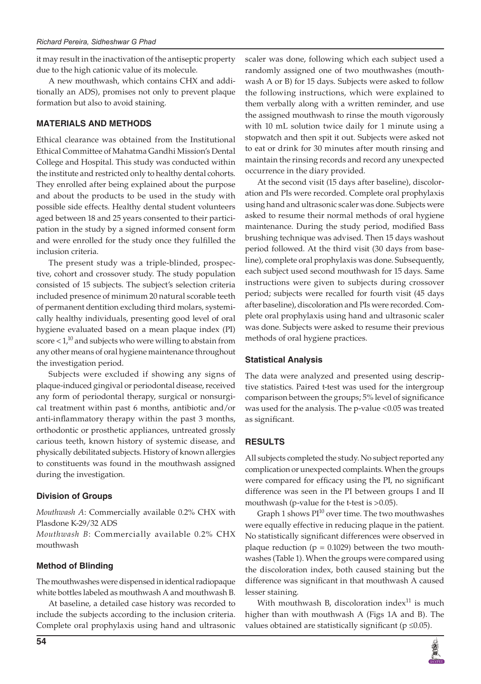it may result in the inactivation of the antiseptic property due to the high cationic value of its molecule.

A new mouthwash, which contains CHX and additionally an ADS), promises not only to prevent plaque formation but also to avoid staining.

### **MATERIALS AND METHODS**

Ethical clearance was obtained from the Institutional Ethical Committee of Mahatma Gandhi Mission's Dental College and Hospital. This study was conducted within the institute and restricted only to healthy dental cohorts. They enrolled after being explained about the purpose and about the products to be used in the study with possible side effects. Healthy dental student volunteers aged between 18 and 25 years consented to their participation in the study by a signed informed consent form and were enrolled for the study once they fulfilled the inclusion criteria.

The present study was a triple-blinded, prospective, cohort and crossover study. The study population consisted of 15 subjects. The subject's selection criteria included presence of minimum 20 natural scorable teeth of permanent dentition excluding third molars, systemically healthy individuals, presenting good level of oral hygiene evaluated based on a mean plaque index (PI) score  $< 1<sup>10</sup>$  and subjects who were willing to abstain from any other means of oral hygiene maintenance throughout the investigation period.

Subjects were excluded if showing any signs of plaque-induced gingival or periodontal disease, received any form of periodontal therapy, surgical or nonsurgical treatment within past 6 months, antibiotic and/or anti-inflammatory therapy within the past 3 months, orthodontic or prosthetic appliances, untreated grossly carious teeth, known history of systemic disease, and physically debilitated subjects. History of known allergies to constituents was found in the mouthwash assigned during the investigation.

### **Division of Groups**

*Mouthwash A*: Commercially available 0.2% CHX with Plasdone K-29/32 ADS

*Mouthwash B*: Commercially available 0.2% CHX mouthwash

# **Method of Blinding**

The mouthwashes were dispensed in identical radiopaque white bottles labeled as mouthwash A and mouthwash B.

At baseline, a detailed case history was recorded to include the subjects according to the inclusion criteria. Complete oral prophylaxis using hand and ultrasonic

scaler was done, following which each subject used a randomly assigned one of two mouthwashes (mouthwash A or B) for 15 days. Subjects were asked to follow the following instructions, which were explained to them verbally along with a written reminder, and use the assigned mouthwash to rinse the mouth vigorously with 10 mL solution twice daily for 1 minute using a stopwatch and then spit it out. Subjects were asked not to eat or drink for 30 minutes after mouth rinsing and maintain the rinsing records and record any unexpected occurrence in the diary provided.

At the second visit (15 days after baseline), discoloration and PIs were recorded. Complete oral prophylaxis using hand and ultrasonic scaler was done. Subjects were asked to resume their normal methods of oral hygiene maintenance. During the study period, modified Bass brushing technique was advised. Then 15 days washout period followed. At the third visit (30 days from baseline), complete oral prophylaxis was done. Subsequently, each subject used second mouthwash for 15 days. Same instructions were given to subjects during crossover period; subjects were recalled for fourth visit (45 days after baseline), discoloration and PIs were recorded. Complete oral prophylaxis using hand and ultrasonic scaler was done. Subjects were asked to resume their previous methods of oral hygiene practices.

### **Statistical Analysis**

The data were analyzed and presented using descriptive statistics. Paired t-test was used for the intergroup comparison between the groups; 5% level of significance was used for the analysis. The p-value <0.05 was treated as significant.

# **RESULTS**

All subjects completed the study. No subject reported any complication or unexpected complaints. When the groups were compared for efficacy using the PI, no significant difference was seen in the PI between groups I and II mouthwash (p-value for the t-test is >0.05).

Graph 1 shows  $PI^{10}$  over time. The two mouthwashes were equally effective in reducing plaque in the patient. No statistically significant differences were observed in plaque reduction ( $p = 0.1029$ ) between the two mouthwashes (Table 1). When the groups were compared using the discoloration index, both caused staining but the difference was significant in that mouthwash A caused lesser staining.

With mouthwash B, discoloration index $^{11}$  is much higher than with mouthwash A (Figs 1A and B). The values obtained are statistically significant ( $p \le 0.05$ ).

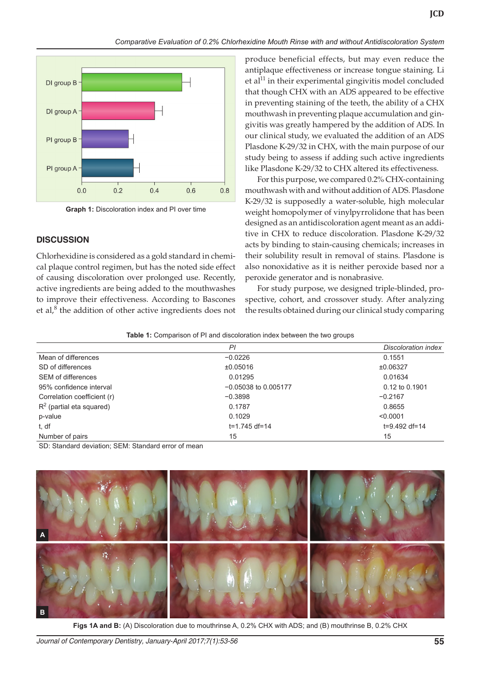

**Graph 1:** Discoloration index and PI over time

## **DISCUSSION**

Chlorhexidine is considered as a gold standard in chemical plaque control regimen, but has the noted side effect of causing discoloration over prolonged use. Recently, active ingredients are being added to the mouthwashes to improve their effectiveness. According to Bascones et al, $^8$  the addition of other active ingredients does not

produce beneficial effects, but may even reduce the antiplaque effectiveness or increase tongue staining. Li et al $11$  in their experimental gingivitis model concluded that though CHX with an ADS appeared to be effective in preventing staining of the teeth, the ability of a CHX mouthwash in preventing plaque accumulation and gingivitis was greatly hampered by the addition of ADS. In our clinical study, we evaluated the addition of an ADS Plasdone K-29/32 in CHX, with the main purpose of our study being to assess if adding such active ingredients like Plasdone K-29/32 to CHX altered its effectiveness.

For this purpose, we compared 0.2% CHX-containing mouthwash with and without addition of ADS. Plasdone K-29/32 is supposedly a water-soluble, high molecular weight homopolymer of vinylpyrrolidone that has been designed as an antidiscoloration agent meant as an additive in CHX to reduce discoloration. Plasdone K-29/32 acts by binding to stain-causing chemicals; increases in their solubility result in removal of stains. Plasdone is also nonoxidative as it is neither peroxide based nor a peroxide generator and is nonabrasive.

For study purpose, we designed triple-blinded, prospective, cohort, and crossover study. After analyzing the results obtained during our clinical study comparing

#### **Table 1:** Comparison of PI and discoloration index between the two groups

|                             | PI                     | Discoloration index |
|-----------------------------|------------------------|---------------------|
| Mean of differences         | $-0.0226$              | 0.1551              |
| SD of differences           | ±0.05016               | ±0.06327            |
| <b>SEM of differences</b>   | 0.01295                | 0.01634             |
| 95% confidence interval     | $-0.05038$ to 0.005177 | 0.12 to 0.1901      |
| Correlation coefficient (r) | $-0.3898$              | $-0.2167$           |
| $R^2$ (partial eta squared) | 0.1787                 | 0.8655              |
| p-value                     | 0.1029                 | < 0.0001            |
| t, df                       | $t = 1.745 df = 14$    | $t=9.492 df=14$     |
| Number of pairs             | 15                     | 15                  |
|                             | $\sim$                 |                     |

SD: Standard deviation; SEM: Standard error of mean



**Figs 1A and B:** (A) Discoloration due to mouthrinse A, 0.2% CHX with ADS; and (B) mouthrinse B, 0.2% CHX